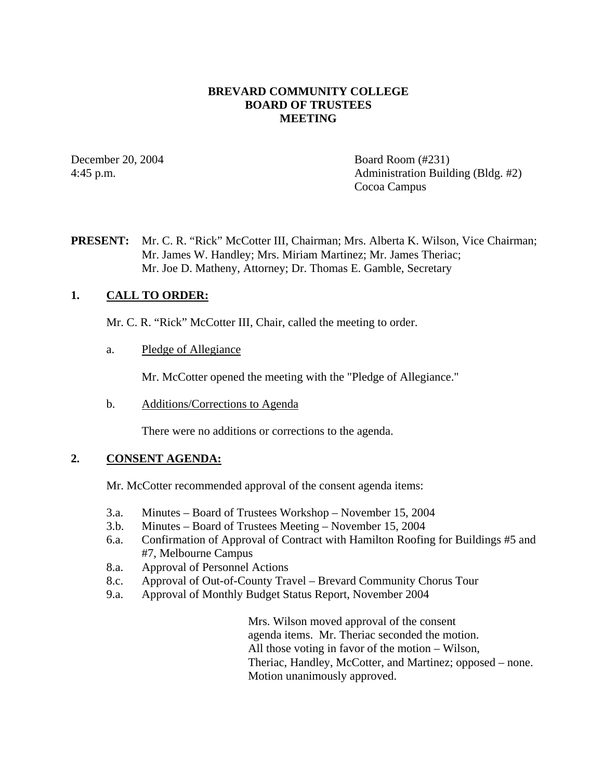### **BREVARD COMMUNITY COLLEGE BOARD OF TRUSTEES MEETING**

December 20, 2004 Board Room (#231) 4:45 p.m. Administration Building (Bldg. #2) Cocoa Campus

**PRESENT:** Mr. C. R. "Rick" McCotter III, Chairman; Mrs. Alberta K. Wilson, Vice Chairman; Mr. James W. Handley; Mrs. Miriam Martinez; Mr. James Theriac; Mr. Joe D. Matheny, Attorney; Dr. Thomas E. Gamble, Secretary

### **1. CALL TO ORDER:**

Mr. C. R. "Rick" McCotter III, Chair, called the meeting to order.

a. Pledge of Allegiance

Mr. McCotter opened the meeting with the "Pledge of Allegiance."

b. Additions/Corrections to Agenda

There were no additions or corrections to the agenda.

#### **2. CONSENT AGENDA:**

Mr. McCotter recommended approval of the consent agenda items:

- 3.a. Minutes Board of Trustees Workshop November 15, 2004
- 3.b. Minutes Board of Trustees Meeting November 15, 2004
- 6.a. Confirmation of Approval of Contract with Hamilton Roofing for Buildings #5 and #7, Melbourne Campus
- 8.a. Approval of Personnel Actions
- 8.c. Approval of Out-of-County Travel Brevard Community Chorus Tour
- 9.a. Approval of Monthly Budget Status Report, November 2004

Mrs. Wilson moved approval of the consent agenda items. Mr. Theriac seconded the motion. All those voting in favor of the motion – Wilson, Theriac, Handley, McCotter, and Martinez; opposed – none. Motion unanimously approved.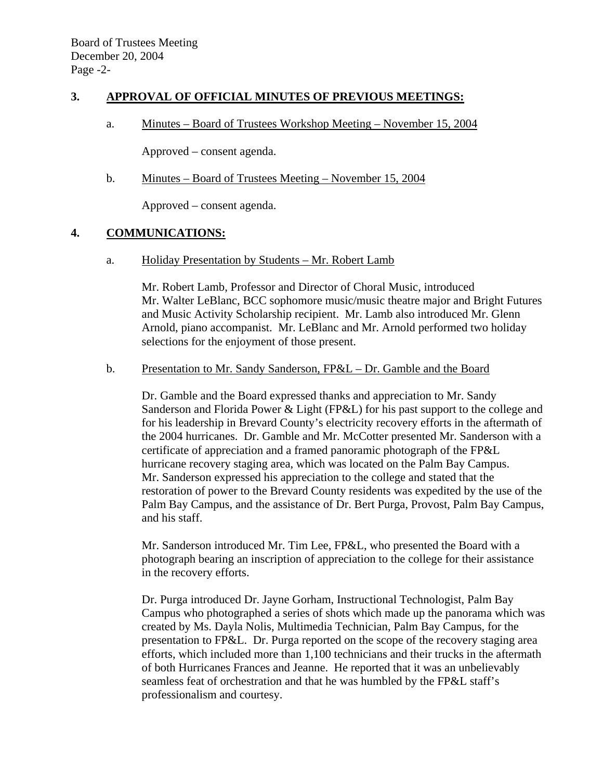### **3. APPROVAL OF OFFICIAL MINUTES OF PREVIOUS MEETINGS:**

a. Minutes – Board of Trustees Workshop Meeting – November 15, 2004

Approved – consent agenda.

b. Minutes – Board of Trustees Meeting – November 15, 2004

Approved – consent agenda.

#### **4. COMMUNICATIONS:**

a. Holiday Presentation by Students – Mr. Robert Lamb

Mr. Robert Lamb, Professor and Director of Choral Music, introduced Mr. Walter LeBlanc, BCC sophomore music/music theatre major and Bright Futures and Music Activity Scholarship recipient. Mr. Lamb also introduced Mr. Glenn Arnold, piano accompanist. Mr. LeBlanc and Mr. Arnold performed two holiday selections for the enjoyment of those present.

#### b. Presentation to Mr. Sandy Sanderson, FP&L – Dr. Gamble and the Board

Dr. Gamble and the Board expressed thanks and appreciation to Mr. Sandy Sanderson and Florida Power & Light (FP&L) for his past support to the college and for his leadership in Brevard County's electricity recovery efforts in the aftermath of the 2004 hurricanes. Dr. Gamble and Mr. McCotter presented Mr. Sanderson with a certificate of appreciation and a framed panoramic photograph of the FP&L hurricane recovery staging area, which was located on the Palm Bay Campus. Mr. Sanderson expressed his appreciation to the college and stated that the restoration of power to the Brevard County residents was expedited by the use of the Palm Bay Campus, and the assistance of Dr. Bert Purga, Provost, Palm Bay Campus, and his staff.

Mr. Sanderson introduced Mr. Tim Lee, FP&L, who presented the Board with a photograph bearing an inscription of appreciation to the college for their assistance in the recovery efforts.

Dr. Purga introduced Dr. Jayne Gorham, Instructional Technologist, Palm Bay Campus who photographed a series of shots which made up the panorama which was created by Ms. Dayla Nolis, Multimedia Technician, Palm Bay Campus, for the presentation to FP&L. Dr. Purga reported on the scope of the recovery staging area efforts, which included more than 1,100 technicians and their trucks in the aftermath of both Hurricanes Frances and Jeanne. He reported that it was an unbelievably seamless feat of orchestration and that he was humbled by the FP&L staff's professionalism and courtesy.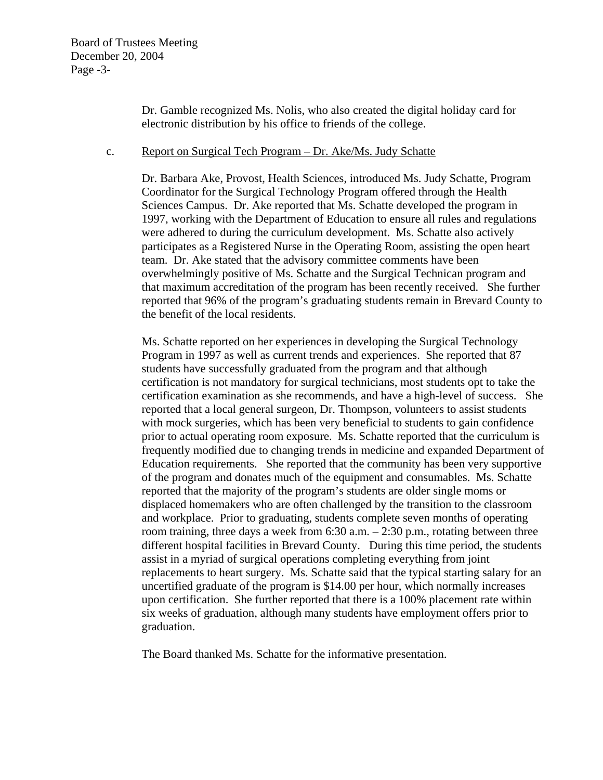Dr. Gamble recognized Ms. Nolis, who also created the digital holiday card for electronic distribution by his office to friends of the college.

#### c. Report on Surgical Tech Program – Dr. Ake/Ms. Judy Schatte

Dr. Barbara Ake, Provost, Health Sciences, introduced Ms. Judy Schatte, Program Coordinator for the Surgical Technology Program offered through the Health Sciences Campus. Dr. Ake reported that Ms. Schatte developed the program in 1997, working with the Department of Education to ensure all rules and regulations were adhered to during the curriculum development. Ms. Schatte also actively participates as a Registered Nurse in the Operating Room, assisting the open heart team. Dr. Ake stated that the advisory committee comments have been overwhelmingly positive of Ms. Schatte and the Surgical Technican program and that maximum accreditation of the program has been recently received. She further reported that 96% of the program's graduating students remain in Brevard County to the benefit of the local residents.

Ms. Schatte reported on her experiences in developing the Surgical Technology Program in 1997 as well as current trends and experiences. She reported that 87 students have successfully graduated from the program and that although certification is not mandatory for surgical technicians, most students opt to take the certification examination as she recommends, and have a high-level of success. She reported that a local general surgeon, Dr. Thompson, volunteers to assist students with mock surgeries, which has been very beneficial to students to gain confidence prior to actual operating room exposure. Ms. Schatte reported that the curriculum is frequently modified due to changing trends in medicine and expanded Department of Education requirements. She reported that the community has been very supportive of the program and donates much of the equipment and consumables. Ms. Schatte reported that the majority of the program's students are older single moms or displaced homemakers who are often challenged by the transition to the classroom and workplace. Prior to graduating, students complete seven months of operating room training, three days a week from 6:30 a.m. – 2:30 p.m., rotating between three different hospital facilities in Brevard County. During this time period, the students assist in a myriad of surgical operations completing everything from joint replacements to heart surgery. Ms. Schatte said that the typical starting salary for an uncertified graduate of the program is \$14.00 per hour, which normally increases upon certification. She further reported that there is a 100% placement rate within six weeks of graduation, although many students have employment offers prior to graduation.

The Board thanked Ms. Schatte for the informative presentation.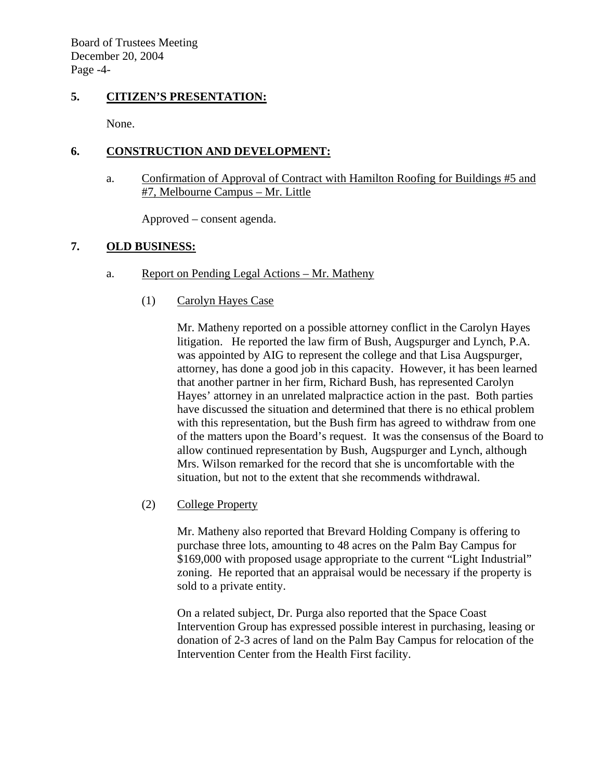Board of Trustees Meeting December 20, 2004 Page -4-

### **5. CITIZEN'S PRESENTATION:**

None.

# **6. CONSTRUCTION AND DEVELOPMENT:**

a. Confirmation of Approval of Contract with Hamilton Roofing for Buildings #5 and #7, Melbourne Campus – Mr. Little

Approved – consent agenda.

# **7. OLD BUSINESS:**

- a. Report on Pending Legal Actions Mr. Matheny
	- (1) Carolyn Hayes Case

Mr. Matheny reported on a possible attorney conflict in the Carolyn Hayes litigation. He reported the law firm of Bush, Augspurger and Lynch, P.A. was appointed by AIG to represent the college and that Lisa Augspurger, attorney, has done a good job in this capacity. However, it has been learned that another partner in her firm, Richard Bush, has represented Carolyn Hayes' attorney in an unrelated malpractice action in the past. Both parties have discussed the situation and determined that there is no ethical problem with this representation, but the Bush firm has agreed to withdraw from one of the matters upon the Board's request. It was the consensus of the Board to allow continued representation by Bush, Augspurger and Lynch, although Mrs. Wilson remarked for the record that she is uncomfortable with the situation, but not to the extent that she recommends withdrawal.

(2) College Property

Mr. Matheny also reported that Brevard Holding Company is offering to purchase three lots, amounting to 48 acres on the Palm Bay Campus for \$169,000 with proposed usage appropriate to the current "Light Industrial" zoning. He reported that an appraisal would be necessary if the property is sold to a private entity.

On a related subject, Dr. Purga also reported that the Space Coast Intervention Group has expressed possible interest in purchasing, leasing or donation of 2-3 acres of land on the Palm Bay Campus for relocation of the Intervention Center from the Health First facility.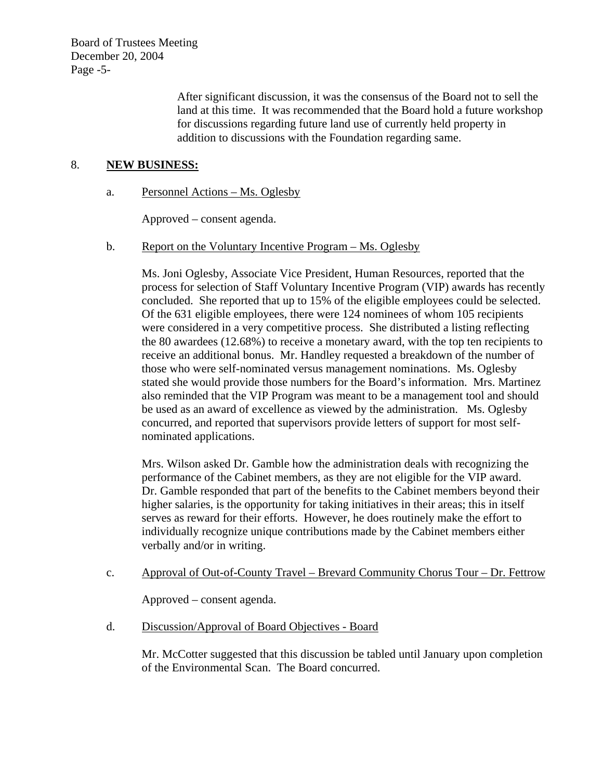Board of Trustees Meeting December 20, 2004 Page -5-

> After significant discussion, it was the consensus of the Board not to sell the land at this time. It was recommended that the Board hold a future workshop for discussions regarding future land use of currently held property in addition to discussions with the Foundation regarding same.

### 8. **NEW BUSINESS:**

a. Personnel Actions – Ms. Oglesby

Approved – consent agenda.

#### b. Report on the Voluntary Incentive Program – Ms. Oglesby

Ms. Joni Oglesby, Associate Vice President, Human Resources, reported that the process for selection of Staff Voluntary Incentive Program (VIP) awards has recently concluded. She reported that up to 15% of the eligible employees could be selected. Of the 631 eligible employees, there were 124 nominees of whom 105 recipients were considered in a very competitive process. She distributed a listing reflecting the 80 awardees (12.68%) to receive a monetary award, with the top ten recipients to receive an additional bonus. Mr. Handley requested a breakdown of the number of those who were self-nominated versus management nominations. Ms. Oglesby stated she would provide those numbers for the Board's information. Mrs. Martinez also reminded that the VIP Program was meant to be a management tool and should be used as an award of excellence as viewed by the administration. Ms. Oglesby concurred, and reported that supervisors provide letters of support for most selfnominated applications.

Mrs. Wilson asked Dr. Gamble how the administration deals with recognizing the performance of the Cabinet members, as they are not eligible for the VIP award. Dr. Gamble responded that part of the benefits to the Cabinet members beyond their higher salaries, is the opportunity for taking initiatives in their areas; this in itself serves as reward for their efforts. However, he does routinely make the effort to individually recognize unique contributions made by the Cabinet members either verbally and/or in writing.

c. Approval of Out-of-County Travel – Brevard Community Chorus Tour – Dr. Fettrow

Approved – consent agenda.

d. Discussion/Approval of Board Objectives - Board

Mr. McCotter suggested that this discussion be tabled until January upon completion of the Environmental Scan. The Board concurred.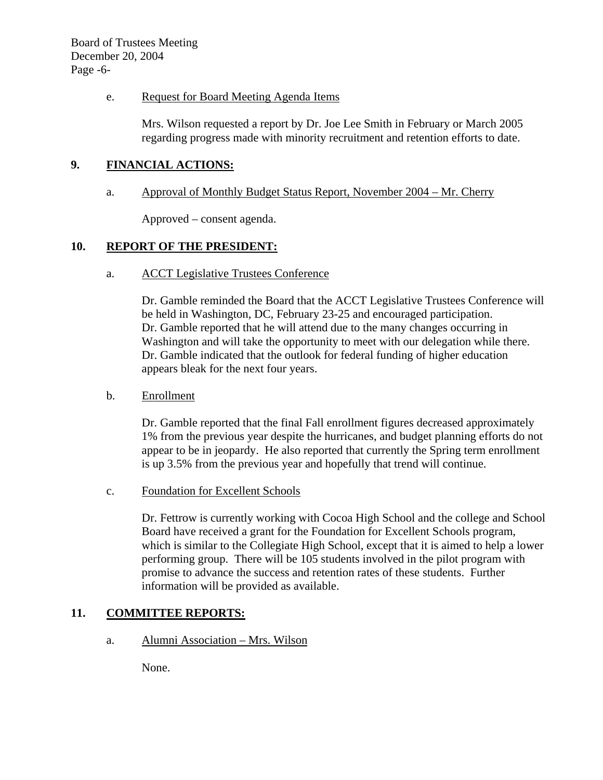### e. Request for Board Meeting Agenda Items

Mrs. Wilson requested a report by Dr. Joe Lee Smith in February or March 2005 regarding progress made with minority recruitment and retention efforts to date.

# **9. FINANCIAL ACTIONS:**

### a. Approval of Monthly Budget Status Report, November 2004 – Mr. Cherry

Approved – consent agenda.

# **10. REPORT OF THE PRESIDENT:**

a. ACCT Legislative Trustees Conference

Dr. Gamble reminded the Board that the ACCT Legislative Trustees Conference will be held in Washington, DC, February 23-25 and encouraged participation. Dr. Gamble reported that he will attend due to the many changes occurring in Washington and will take the opportunity to meet with our delegation while there. Dr. Gamble indicated that the outlook for federal funding of higher education appears bleak for the next four years.

# b. Enrollment

Dr. Gamble reported that the final Fall enrollment figures decreased approximately 1% from the previous year despite the hurricanes, and budget planning efforts do not appear to be in jeopardy. He also reported that currently the Spring term enrollment is up 3.5% from the previous year and hopefully that trend will continue.

c. Foundation for Excellent Schools

Dr. Fettrow is currently working with Cocoa High School and the college and School Board have received a grant for the Foundation for Excellent Schools program, which is similar to the Collegiate High School, except that it is aimed to help a lower performing group. There will be 105 students involved in the pilot program with promise to advance the success and retention rates of these students. Further information will be provided as available.

# **11. COMMITTEE REPORTS:**

a. Alumni Association – Mrs. Wilson

None.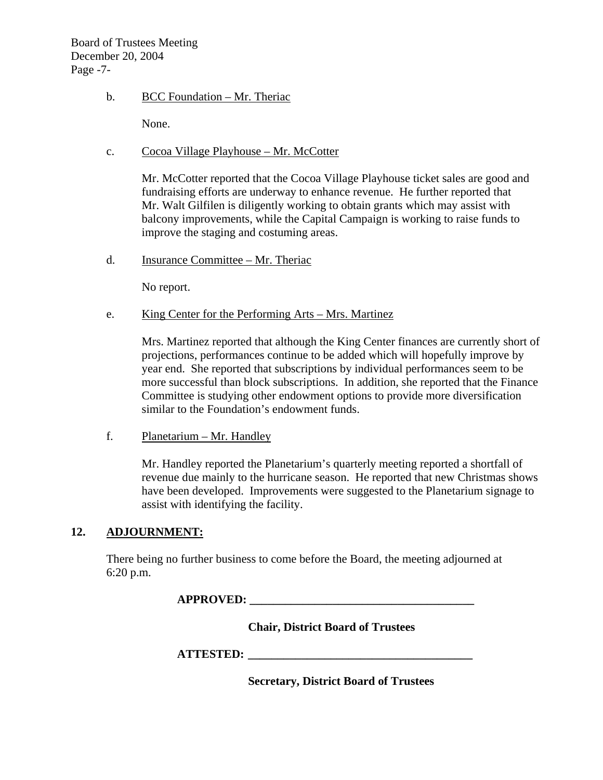Board of Trustees Meeting December 20, 2004 Page -7-

### b. BCC Foundation – Mr. Theriac

None.

# c. Cocoa Village Playhouse – Mr. McCotter

Mr. McCotter reported that the Cocoa Village Playhouse ticket sales are good and fundraising efforts are underway to enhance revenue. He further reported that Mr. Walt Gilfilen is diligently working to obtain grants which may assist with balcony improvements, while the Capital Campaign is working to raise funds to improve the staging and costuming areas.

d. Insurance Committee – Mr. Theriac

No report.

#### e. King Center for the Performing Arts – Mrs. Martinez

Mrs. Martinez reported that although the King Center finances are currently short of projections, performances continue to be added which will hopefully improve by year end. She reported that subscriptions by individual performances seem to be more successful than block subscriptions. In addition, she reported that the Finance Committee is studying other endowment options to provide more diversification similar to the Foundation's endowment funds.

f. Planetarium – Mr. Handley

Mr. Handley reported the Planetarium's quarterly meeting reported a shortfall of revenue due mainly to the hurricane season. He reported that new Christmas shows have been developed. Improvements were suggested to the Planetarium signage to assist with identifying the facility.

# **12. ADJOURNMENT:**

There being no further business to come before the Board, the meeting adjourned at 6:20 p.m.

**APPROVED:** 

 **Chair, District Board of Trustees** 

 **ATTESTED: \_\_\_\_\_\_\_\_\_\_\_\_\_\_\_\_\_\_\_\_\_\_\_\_\_\_\_\_\_\_\_\_\_\_\_\_\_\_** 

 **Secretary, District Board of Trustees**